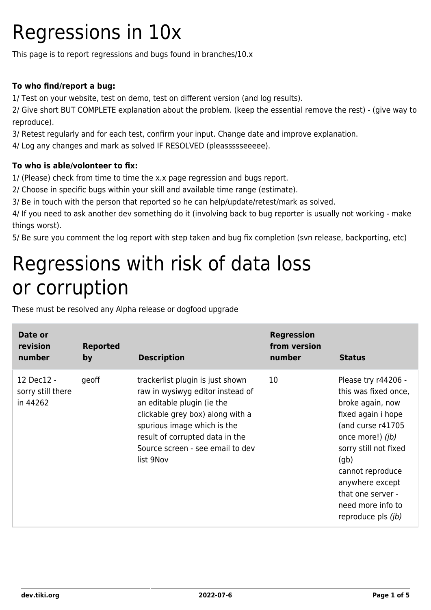### Regressions in 10x

This page is to report regressions and bugs found in branches/10.x

#### **To who find/report a bug:**

1/ Test on your website, test on demo, test on different version (and log results).

2/ Give short BUT COMPLETE explanation about the problem. (keep the essential remove the rest) - (give way to reproduce).

3/ Retest regularly and for each test, confirm your input. Change date and improve explanation.

4/ Log any changes and mark as solved IF RESOLVED (pleassssseeeee).

#### **To who is able/volonteer to fix:**

1/ (Please) check from time to time the x.x page regression and bugs report.

2/ Choose in specific bugs within your skill and available time range (estimate).

3/ Be in touch with the person that reported so he can help/update/retest/mark as solved.

4/ If you need to ask another dev something do it (involving back to bug reporter is usually not working - make things worst).

5/ Be sure you comment the log report with step taken and bug fix completion (svn release, backporting, etc)

#### Regressions with risk of data loss or corruption

These must be resolved any Alpha release or dogfood upgrade

| Date or<br>revision<br>number               | <b>Reported</b><br>by | <b>Description</b>                                                                                                                                                                                                                                        | <b>Regression</b><br>from version<br>number | <b>Status</b>                                                                                                                                                                                                                                                                   |
|---------------------------------------------|-----------------------|-----------------------------------------------------------------------------------------------------------------------------------------------------------------------------------------------------------------------------------------------------------|---------------------------------------------|---------------------------------------------------------------------------------------------------------------------------------------------------------------------------------------------------------------------------------------------------------------------------------|
| 12 Dec12 -<br>sorry still there<br>in 44262 | geoff                 | trackerlist plugin is just shown<br>raw in wysiwyg editor instead of<br>an editable plugin (ie the<br>clickable grey box) along with a<br>spurious image which is the<br>result of corrupted data in the<br>Source screen - see email to dev<br>list 9Nov | 10                                          | Please try r44206 -<br>this was fixed once,<br>broke again, now<br>fixed again i hope<br>(and curse r41705<br>once more!) ( <i>jb</i> )<br>sorry still not fixed<br>(qb)<br>cannot reproduce<br>anywhere except<br>that one server -<br>need more info to<br>reproduce pls (jb) |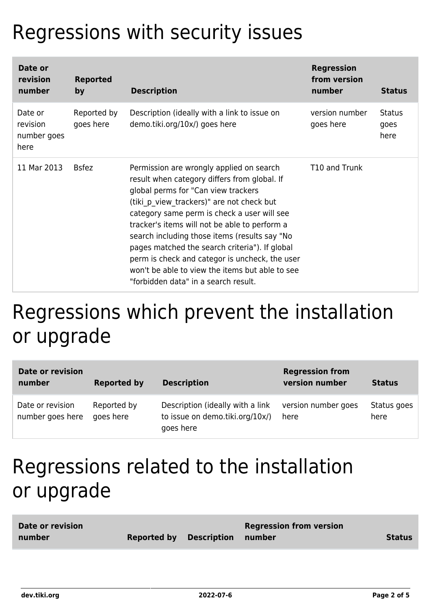# Regressions with security issues

| Date or<br>revision<br>number              | <b>Reported</b><br>by    | <b>Description</b>                                                                                                                                                                                                                                                                                                                                                                                                                                                                                                            | <b>Regression</b><br>from version<br>number | <b>Status</b>          |
|--------------------------------------------|--------------------------|-------------------------------------------------------------------------------------------------------------------------------------------------------------------------------------------------------------------------------------------------------------------------------------------------------------------------------------------------------------------------------------------------------------------------------------------------------------------------------------------------------------------------------|---------------------------------------------|------------------------|
| Date or<br>revision<br>number goes<br>here | Reported by<br>goes here | Description (ideally with a link to issue on<br>demo.tiki.org/10x/) goes here                                                                                                                                                                                                                                                                                                                                                                                                                                                 | version number<br>goes here                 | Status<br>goes<br>here |
| 11 Mar 2013                                | <b>Bsfez</b>             | Permission are wrongly applied on search<br>result when category differs from global. If<br>global perms for "Can view trackers"<br>(tiki p view trackers)" are not check but<br>category same perm is check a user will see<br>tracker's items will not be able to perform a<br>search including those items (results say "No<br>pages matched the search criteria"). If global<br>perm is check and categor is uncheck, the user<br>won't be able to view the items but able to see<br>"forbidden data" in a search result. | T10 and Trunk                               |                        |

### Regressions which prevent the installation or upgrade

| Date or revision<br>number           | <b>Reported by</b>       | <b>Description</b>                                                               | <b>Regression from</b><br>version number | <b>Status</b>       |
|--------------------------------------|--------------------------|----------------------------------------------------------------------------------|------------------------------------------|---------------------|
| Date or revision<br>number goes here | Reported by<br>goes here | Description (ideally with a link<br>to issue on demo.tiki.org/10x/)<br>goes here | version number goes<br>here              | Status goes<br>here |

### Regressions related to the installation or upgrade

| Date or revision |                                       | <b>Regression from version</b> |               |
|------------------|---------------------------------------|--------------------------------|---------------|
| number           | <b>Reported by Description number</b> |                                | <b>Status</b> |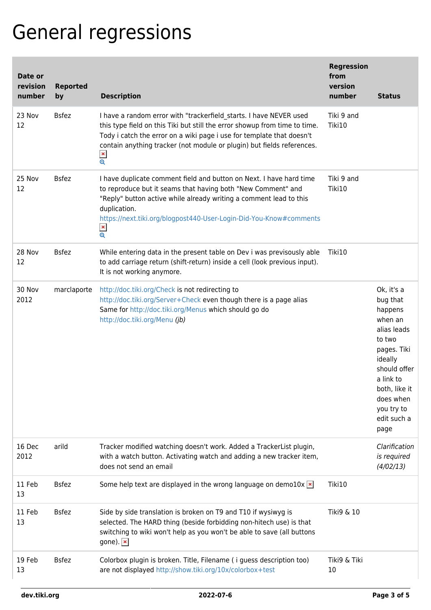# General regressions

| Date or<br>revision<br>number | <b>Reported</b><br>by | <b>Description</b>                                                                                                                                                                                                                                                                                                                            | <b>Regression</b><br>from<br>version<br>number | <b>Status</b>                                                                                                                                                                                   |
|-------------------------------|-----------------------|-----------------------------------------------------------------------------------------------------------------------------------------------------------------------------------------------------------------------------------------------------------------------------------------------------------------------------------------------|------------------------------------------------|-------------------------------------------------------------------------------------------------------------------------------------------------------------------------------------------------|
| 23 Nov<br>12                  | <b>Bsfez</b>          | I have a random error with "trackerfield_starts. I have NEVER used<br>this type field on this Tiki but still the error showup from time to time.<br>Tody i catch the error on a wiki page i use for template that doesn't<br>contain anything tracker (not module or plugin) but fields references.<br>$\pmb{\times}$<br>$\pmb{\mathfrak{S}}$ | Tiki 9 and<br>Tiki10                           |                                                                                                                                                                                                 |
| 25 Nov<br>12                  | <b>Bsfez</b>          | I have duplicate comment field and button on Next. I have hard time<br>to reproduce but it seams that having both "New Comment" and<br>"Reply" button active while already writing a comment lead to this<br>duplication.<br>https://next.tiki.org/blogpost440-User-Login-Did-You-Know#comments<br>$\pmb{\times}$<br>$\mathbf{\Theta}$        | Tiki 9 and<br>Tiki10                           |                                                                                                                                                                                                 |
| 28 Nov<br>12                  | <b>Bsfez</b>          | While entering data in the present table on Dev i was previsously able<br>to add carriage return (shift-return) inside a cell (look previous input).<br>It is not working anymore.                                                                                                                                                            | Tiki10                                         |                                                                                                                                                                                                 |
| 30 Nov<br>2012                | marclaporte           | http://doc.tiki.org/Check is not redirecting to<br>http://doc.tiki.org/Server+Check even though there is a page alias<br>Same for http://doc.tiki.org/Menus which should go do<br>http://doc.tiki.org/Menu (jb)                                                                                                                               |                                                | Ok, it's a<br>bug that<br>happens<br>when an<br>alias leads<br>to two<br>pages. Tiki<br>ideally<br>should offer<br>a link to<br>both, like it<br>does when<br>you try to<br>edit such a<br>page |
| 16 Dec<br>2012                | arild                 | Tracker modified watching doesn't work. Added a TrackerList plugin,<br>with a watch button. Activating watch and adding a new tracker item,<br>does not send an email                                                                                                                                                                         |                                                | Clarification<br>is required<br>(4/02/13)                                                                                                                                                       |
| 11 Feb<br>13                  | <b>Bsfez</b>          | Some help text are displayed in the wrong language on demo10x $\times$                                                                                                                                                                                                                                                                        | Tiki10                                         |                                                                                                                                                                                                 |
| 11 Feb<br>13                  | <b>Bsfez</b>          | Side by side translation is broken on T9 and T10 if wysiwyg is<br>selected. The HARD thing (beside forbidding non-hitech use) is that<br>switching to wiki won't help as you won't be able to save (all buttons<br>gone). $\vert x \vert$                                                                                                     | Tiki9 & 10                                     |                                                                                                                                                                                                 |
| 19 Feb<br>13                  | <b>Bsfez</b>          | Colorbox plugin is broken. Title, Filename (i guess description too)<br>are not displayed http://show.tiki.org/10x/colorbox+test                                                                                                                                                                                                              | Tiki9 & Tiki<br>10                             |                                                                                                                                                                                                 |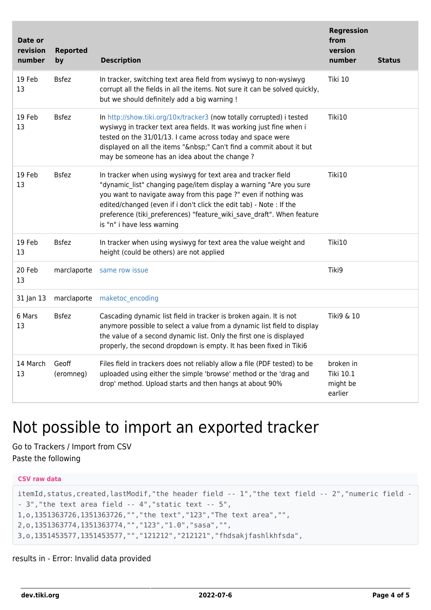| Date or<br>revision<br>number | <b>Reported</b><br>by | <b>Description</b>                                                                                                                                                                                                                                                                                                                                                                  | <b>Regression</b><br>from<br>version<br>number | <b>Status</b> |
|-------------------------------|-----------------------|-------------------------------------------------------------------------------------------------------------------------------------------------------------------------------------------------------------------------------------------------------------------------------------------------------------------------------------------------------------------------------------|------------------------------------------------|---------------|
| 19 Feb<br>13                  | <b>Bsfez</b>          | In tracker, switching text area field from wysiwyg to non-wysiwyg<br>corrupt all the fields in all the items. Not sure it can be solved quickly,<br>but we should definitely add a big warning !                                                                                                                                                                                    | Tiki 10                                        |               |
| 19 Feb<br>13                  | <b>Bsfez</b>          | In http://show.tiki.org/10x/tracker3 (now totally corrupted) i tested<br>wysiwyg in tracker text area fields. It was working just fine when i<br>tested on the 31/01/13. I came across today and space were<br>displayed on all the items " " Can't find a commit about it but<br>may be someone has an idea about the change?                                                      | Tiki10                                         |               |
| 19 Feb<br>13                  | <b>Bsfez</b>          | In tracker when using wysiwyg for text area and tracker field<br>"dynamic list" changing page/item display a warning "Are you sure<br>you want to navigate away from this page ?" even if nothing was<br>edited/changed (even if i don't click the edit tab) - Note : If the<br>preference (tiki preferences) "feature wiki save draft". When feature<br>is "n" i have less warning | Tiki10                                         |               |
| 19 Feb<br>13                  | <b>Bsfez</b>          | In tracker when using wysiwyg for text area the value weight and<br>height (could be others) are not applied                                                                                                                                                                                                                                                                        | Tiki10                                         |               |
| 20 Feb<br>13                  | marclaporte           | same row issue                                                                                                                                                                                                                                                                                                                                                                      | Tiki9                                          |               |
| 31 Jan 13                     | marclaporte           | maketoc encoding                                                                                                                                                                                                                                                                                                                                                                    |                                                |               |
| 6 Mars<br>13                  | <b>Bsfez</b>          | Cascading dynamic list field in tracker is broken again. It is not<br>anymore possible to select a value from a dynamic list field to display<br>the value of a second dynamic list. Only the first one is displayed<br>properly, the second dropdown is empty. It has been fixed in Tiki6                                                                                          | Tiki9 & 10                                     |               |
| 14 March<br>13                | Geoff<br>(eromneg)    | Files field in trackers does not reliably allow a file (PDF tested) to be<br>uploaded using either the simple 'browse' method or the 'drag and<br>drop' method. Upload starts and then hangs at about 90%                                                                                                                                                                           | broken in<br>Tiki 10.1<br>might be<br>earlier  |               |

#### Not possible to import an exported tracker

Go to Trackers / Import from CSV Paste the following

```
CSV raw data
itemId,status,created,lastModif,"the header field -- 1","the text field -- 2","numeric field -
- 3","the text area field -- 4","static text -- 5",
1,o,1351363726,1351363726,"","the text","123","The text area","",
2,o,1351363774,1351363774,"","123","1.0","sasa","",
3,o,1351453577,1351453577,"","121212","212121","fhdsakjfashlkhfsda",
```
results in - Error: Invalid data provided